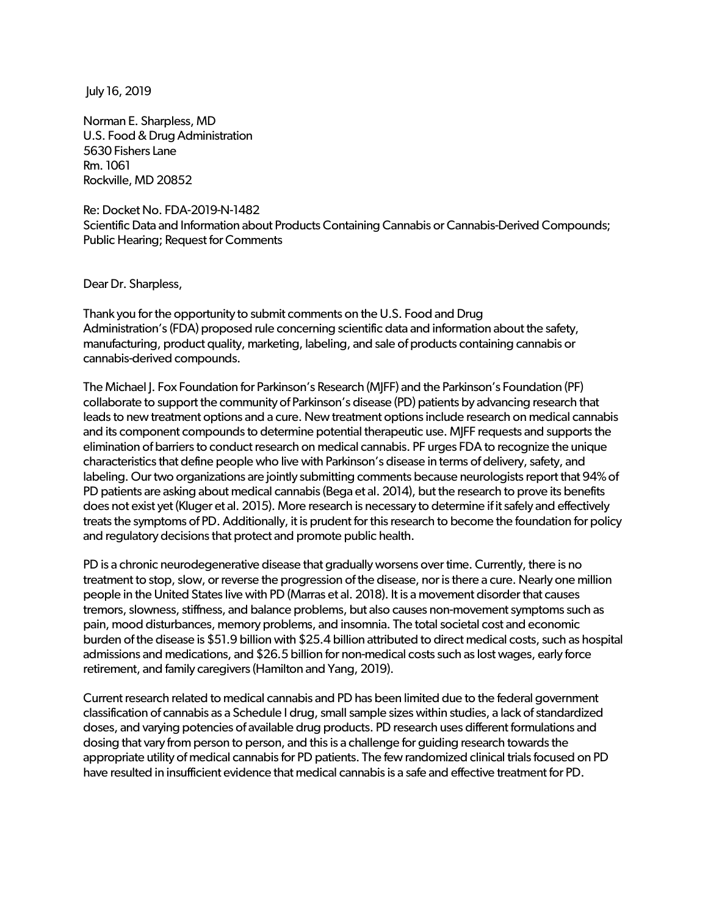July 16, 2019

Norman E. Sharpless, MD U.S. Food & Drug Administration 5630 Fishers Lane Rm. 1061 Rockville, MD 20852

Re: Docket No. FDA-2019-N-1482 Scientific Data and Information about Products Containing Cannabis or Cannabis-Derived Compounds; Public Hearing; Request for Comments

Dear Dr. Sharpless,

Thank you for the opportunity to submit comments on the U.S. Food and Drug Administration's (FDA) proposed rule concerning scientific data and information about the safety, manufacturing, product quality, marketing, labeling, and sale of products containing cannabis or cannabis-derived compounds.

The Michael J. Fox Foundation for Parkinson's Research (MJFF) and the Parkinson's Foundation (PF) collaborate to support the community of Parkinson's disease (PD) patients by advancing research that leads to new treatment options and a cure. New treatment options include research on medical cannabis and its component compounds to determine potential therapeutic use. MJFF requests and supports the elimination of barriers to conduct research on medical cannabis. PF urges FDA to recognize the unique characteristics that define people who live with Parkinson's disease in terms of delivery, safety, and labeling. Ourtwo organizations are jointly submitting comments because neurologists report that 94% of PD patients are asking about medical cannabis (Bega et al. 2014), but the research to prove its benefits does not exist yet (Kluger et al. 2015). More research is necessary to determine if it safely and effectively treats the symptoms of PD. Additionally, it is prudent for this research to become the foundation for policy and regulatory decisions that protect and promote public health.

PD is a chronic neurodegenerative disease that gradually worsens over time. Currently, there is no treatment to stop, slow, or reverse the progression of the disease, nor is there a cure. Nearly one million people in the United States live with PD (Marras et al. 2018). It is a movement disorder that causes tremors, slowness, stiffness, and balance problems, but also causes non-movement symptoms such as pain, mood disturbances, memory problems, and insomnia. The total societal cost and economic burden of the disease is \$51.9 billion with \$25.4 billion attributed to direct medical costs, such as hospital admissions and medications, and \$26.5 billion for non-medical costs such as lost wages, early force retirement, and family caregivers (Hamilton and Yang, 2019).

Current research related to medical cannabis and PD has been limited due to the federal government classification of cannabis as a Schedule I drug, small sample sizes within studies, a lack of standardized doses, and varying potencies of available drug products. PD research uses different formulations and dosing that vary from person to person, and this is a challenge for guiding research towards the appropriate utility of medical cannabis for PD patients. The few randomized clinical trials focused on PD have resulted in insufficient evidence that medical cannabis is a safe and effective treatment for PD.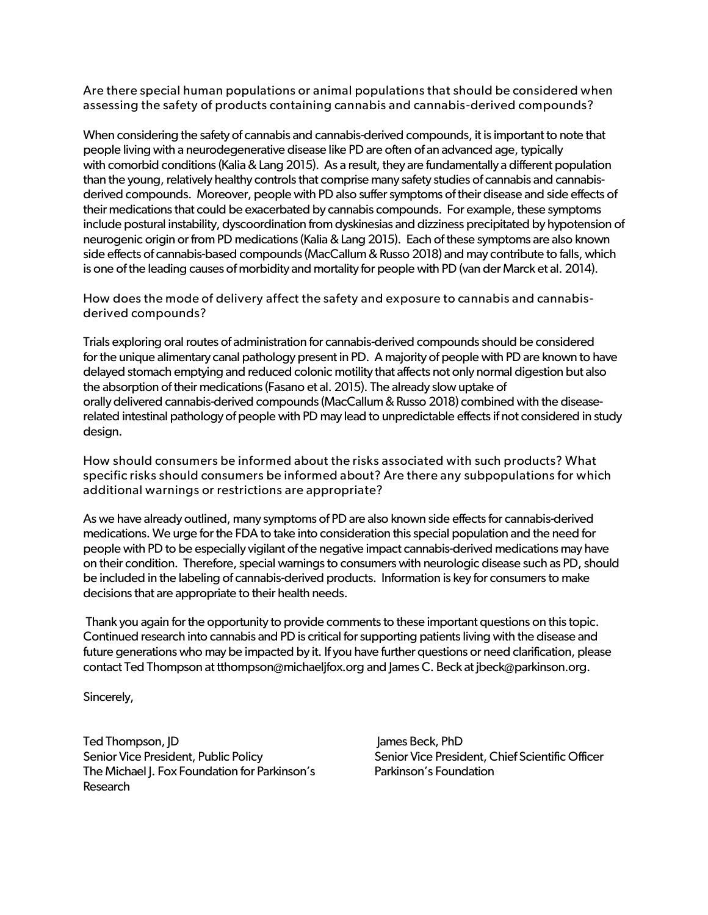Are there special human populations or animal populations that should be considered when assessing the safety of products containing cannabis and cannabis-derived compounds?

When considering the safety of cannabis and cannabis-derived compounds, it is important to note that people living with a neurodegenerative disease like PD are often of an advanced age, typically with comorbid conditions (Kalia & Lang 2015). As a result, they are fundamentally a different population than the young, relatively healthy controls that comprise many safety studies of cannabis and cannabisderived compounds. Moreover, people with PD also suffer symptoms of their disease and side effects of their medications that could be exacerbated by cannabis compounds. For example, these symptoms include postural instability, dyscoordination from dyskinesias and dizziness precipitated by hypotension of neurogenic origin or from PD medications (Kalia & Lang 2015). Each of these symptoms are also known side effects of cannabis-based compounds (MacCallum & Russo 2018) and may contribute to falls, which is one of the leading causes of morbidity and mortality for people with PD (van der Marck et al. 2014).

How does the mode of delivery affect the safety and exposure to cannabis and cannabisderived compounds?

Trials exploring oral routes of administration for cannabis-derived compounds should be considered forthe unique alimentary canal pathology present in PD. A majority of people with PD are known to have delayed stomach emptying and reduced colonic motility that affects not only normal digestion but also the absorption of their medications (Fasano et al. 2015). The already slow uptake of orally delivered cannabis-derived compounds (MacCallum & Russo 2018) combined with the diseaserelated intestinal pathology of people with PD may lead to unpredictable effects if not considered in study design.

How should consumers be informed about the risks associated with such products? What specific risks should consumers be informed about? Are there any subpopulations for which additional warnings or restrictions are appropriate?

As we have already outlined, many symptoms of PD are also known side effects for cannabis-derived medications. We urge for the FDA to take into consideration this special population and the need for people with PD to be especially vigilant of the negative impact cannabis-derived medications may have on their condition. Therefore, special warnings to consumers with neurologic disease such as PD, should be included in the labeling of cannabis-derived products. Information is key for consumers to make decisions that are appropriate to their health needs.

Thank you again for the opportunity to provide comments to these important questions on this topic. Continued research into cannabis and PD is critical for supporting patients living with the disease and future generations who may be impacted by it. If you have further questions or need clarification, please contact Ted Thompson at tthompson@michaeljfox.org and James C. Beck at [jbeck@parkinson.org.](mailto:jbeck@parkinson.org)

Sincerely,

Ted Thompson, JD Senior Vice President, Public Policy The Michael I. Fox Foundation for Parkinson's Research

James Beck, PhD Senior Vice President, Chief Scientific Officer Parkinson's Foundation